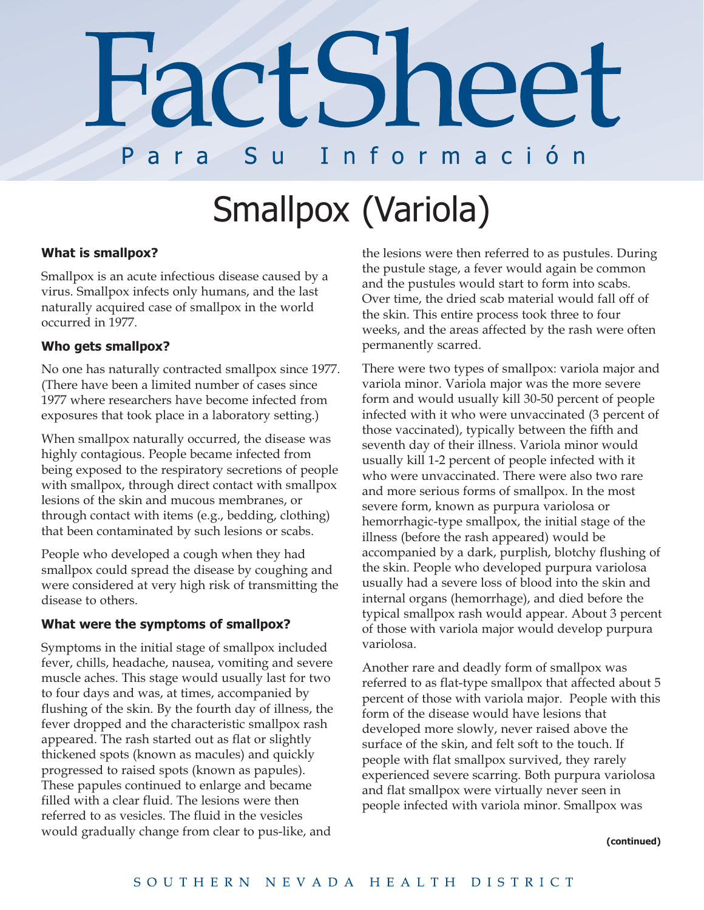## **FactShee** Para S u Información

# Smallpox (Variola)

### **What is smallpox?**

Smallpox is an acute infectious disease caused by a virus. Smallpox infects only humans, and the last naturally acquired case of smallpox in the world occurred in 1977.

#### **Who gets smallpox?**

No one has naturally contracted smallpox since 1977. (There have been a limited number of cases since 1977 where researchers have become infected from exposures that took place in a laboratory setting.)

When smallpox naturally occurred, the disease was highly contagious. People became infected from being exposed to the respiratory secretions of people with smallpox, through direct contact with smallpox lesions of the skin and mucous membranes, or through contact with items (e.g., bedding, clothing) that been contaminated by such lesions or scabs.

People who developed a cough when they had smallpox could spread the disease by coughing and were considered at very high risk of transmitting the disease to others.

#### **What were the symptoms of smallpox?**

Symptoms in the initial stage of smallpox included fever, chills, headache, nausea, vomiting and severe muscle aches. This stage would usually last for two to four days and was, at times, accompanied by flushing of the skin. By the fourth day of illness, the fever dropped and the characteristic smallpox rash appeared. The rash started out as flat or slightly thickened spots (known as macules) and quickly progressed to raised spots (known as papules). These papules continued to enlarge and became filled with a clear fluid. The lesions were then referred to as vesicles. The fluid in the vesicles would gradually change from clear to pus-like, and

the lesions were then referred to as pustules. During the pustule stage, a fever would again be common and the pustules would start to form into scabs. Over time, the dried scab material would fall off of the skin. This entire process took three to four weeks, and the areas affected by the rash were often permanently scarred.

There were two types of smallpox: variola major and variola minor. Variola major was the more severe form and would usually kill 30-50 percent of people infected with it who were unvaccinated (3 percent of those vaccinated), typically between the fifth and seventh day of their illness. Variola minor would usually kill 1-2 percent of people infected with it who were unvaccinated. There were also two rare and more serious forms of smallpox. In the most severe form, known as purpura variolosa or hemorrhagic-type smallpox, the initial stage of the illness (before the rash appeared) would be accompanied by a dark, purplish, blotchy flushing of the skin. People who developed purpura variolosa usually had a severe loss of blood into the skin and internal organs (hemorrhage), and died before the typical smallpox rash would appear. About 3 percent of those with variola major would develop purpura variolosa.

Another rare and deadly form of smallpox was referred to as flat-type smallpox that affected about 5 percent of those with variola major. People with this form of the disease would have lesions that developed more slowly, never raised above the surface of the skin, and felt soft to the touch. If people with flat smallpox survived, they rarely experienced severe scarring. Both purpura variolosa and flat smallpox were virtually never seen in people infected with variola minor. Smallpox was

#### **(continued)**